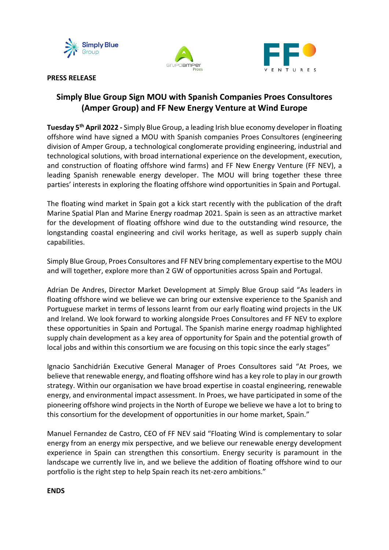





**PRESS RELEASE**

# **Simply Blue Group Sign MOU with Spanish Companies Proes Consultores (Amper Group) and FF New Energy Venture at Wind Europe**

**Tuesday 5th April 2022 -** Simply Blue Group, a leading Irish blue economy developer in floating offshore wind have signed a MOU with Spanish companies Proes Consultores (engineering division of Amper Group, a technological conglomerate providing engineering, industrial and technological solutions, with broad international experience on the development, execution, and construction of floating offshore wind farms) and FF New Energy Venture (FF NEV), a leading Spanish renewable energy developer. The MOU will bring together these three parties' interests in exploring the floating offshore wind opportunities in Spain and Portugal.

The floating wind market in Spain got a kick start recently with the publication of the draft Marine Spatial Plan and Marine Energy roadmap 2021. Spain is seen as an attractive market for the development of floating offshore wind due to the outstanding wind resource, the longstanding coastal engineering and civil works heritage, as well as superb supply chain capabilities.

Simply Blue Group, Proes Consultores and FF NEV bring complementary expertise to the MOU and will together, explore more than 2 GW of opportunities across Spain and Portugal.

Adrian De Andres, Director Market Development at Simply Blue Group said "As leaders in floating offshore wind we believe we can bring our extensive experience to the Spanish and Portuguese market in terms of lessons learnt from our early floating wind projects in the UK and Ireland. We look forward to working alongside Proes Consultores and FF NEV to explore these opportunities in Spain and Portugal. The Spanish marine energy roadmap highlighted supply chain development as a key area of opportunity for Spain and the potential growth of local jobs and within this consortium we are focusing on this topic since the early stages"

Ignacio Sanchidrián Executive General Manager of Proes Consultores said "At Proes, we believe that renewable energy, and floating offshore wind has a key role to play in our growth strategy. Within our organisation we have broad expertise in coastal engineering, renewable energy, and environmental impact assessment. In Proes, we have participated in some of the pioneering offshore wind projects in the North of Europe we believe we have a lot to bring to this consortium for the development of opportunities in our home market, Spain."

Manuel Fernandez de Castro, CEO of FF NEV said "Floating Wind is complementary to solar energy from an energy mix perspective, and we believe our renewable energy development experience in Spain can strengthen this consortium. Energy security is paramount in the landscape we currently live in, and we believe the addition of floating offshore wind to our portfolio is the right step to help Spain reach its net-zero ambitions."

**ENDS**